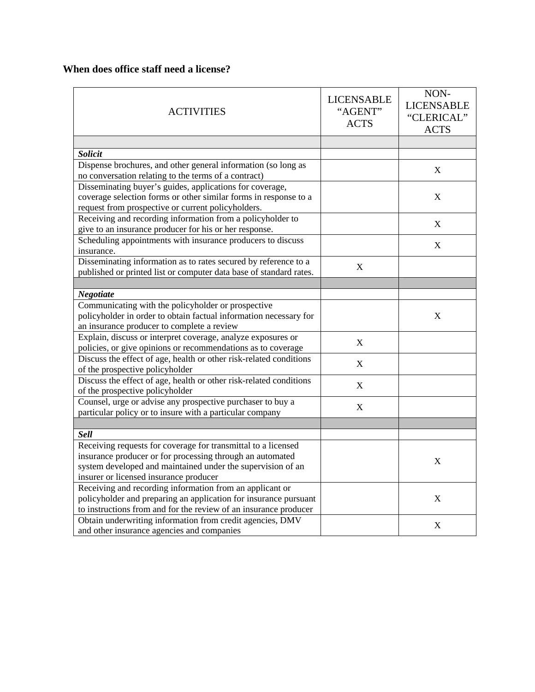## **When does office staff need a license?**

| <b>ACTIVITIES</b>                                                                                                     | <b>LICENSABLE</b><br>"AGENT"<br><b>ACTS</b> | NON-<br><b>LICENSABLE</b><br>"CLERICAL"<br><b>ACTS</b> |
|-----------------------------------------------------------------------------------------------------------------------|---------------------------------------------|--------------------------------------------------------|
|                                                                                                                       |                                             |                                                        |
| <b>Solicit</b>                                                                                                        |                                             |                                                        |
| Dispense brochures, and other general information (so long as<br>no conversation relating to the terms of a contract) |                                             | $\mathbf X$                                            |
| Disseminating buyer's guides, applications for coverage,                                                              |                                             |                                                        |
| coverage selection forms or other similar forms in response to a                                                      |                                             | $\boldsymbol{\mathrm{X}}$                              |
| request from prospective or current policyholders.                                                                    |                                             |                                                        |
| Receiving and recording information from a policyholder to                                                            |                                             | $\mathbf X$                                            |
| give to an insurance producer for his or her response.                                                                |                                             |                                                        |
| Scheduling appointments with insurance producers to discuss                                                           |                                             | $\mathbf X$                                            |
| insurance.                                                                                                            |                                             |                                                        |
| Disseminating information as to rates secured by reference to a                                                       | $\mathbf X$                                 |                                                        |
| published or printed list or computer data base of standard rates.                                                    |                                             |                                                        |
|                                                                                                                       |                                             |                                                        |
| <b>Negotiate</b>                                                                                                      |                                             |                                                        |
| Communicating with the policyholder or prospective                                                                    |                                             |                                                        |
| policyholder in order to obtain factual information necessary for                                                     |                                             | $\mathbf X$                                            |
| an insurance producer to complete a review                                                                            |                                             |                                                        |
| Explain, discuss or interpret coverage, analyze exposures or                                                          | X                                           |                                                        |
| policies, or give opinions or recommendations as to coverage                                                          |                                             |                                                        |
| Discuss the effect of age, health or other risk-related conditions                                                    | X                                           |                                                        |
| of the prospective policyholder                                                                                       |                                             |                                                        |
| Discuss the effect of age, health or other risk-related conditions                                                    | $\mathbf X$                                 |                                                        |
| of the prospective policyholder                                                                                       |                                             |                                                        |
| Counsel, urge or advise any prospective purchaser to buy a                                                            | $\boldsymbol{\mathrm{X}}$                   |                                                        |
| particular policy or to insure with a particular company                                                              |                                             |                                                        |
|                                                                                                                       |                                             |                                                        |
| <b>Sell</b>                                                                                                           |                                             |                                                        |
| Receiving requests for coverage for transmittal to a licensed                                                         |                                             |                                                        |
| insurance producer or for processing through an automated                                                             |                                             | $\boldsymbol{\mathrm{X}}$                              |
| system developed and maintained under the supervision of an                                                           |                                             |                                                        |
| insurer or licensed insurance producer                                                                                |                                             |                                                        |
| Receiving and recording information from an applicant or                                                              |                                             |                                                        |
| policyholder and preparing an application for insurance pursuant                                                      |                                             | X                                                      |
| to instructions from and for the review of an insurance producer                                                      |                                             |                                                        |
| Obtain underwriting information from credit agencies, DMV                                                             |                                             | $\boldsymbol{\mathrm{X}}$                              |
| and other insurance agencies and companies                                                                            |                                             |                                                        |